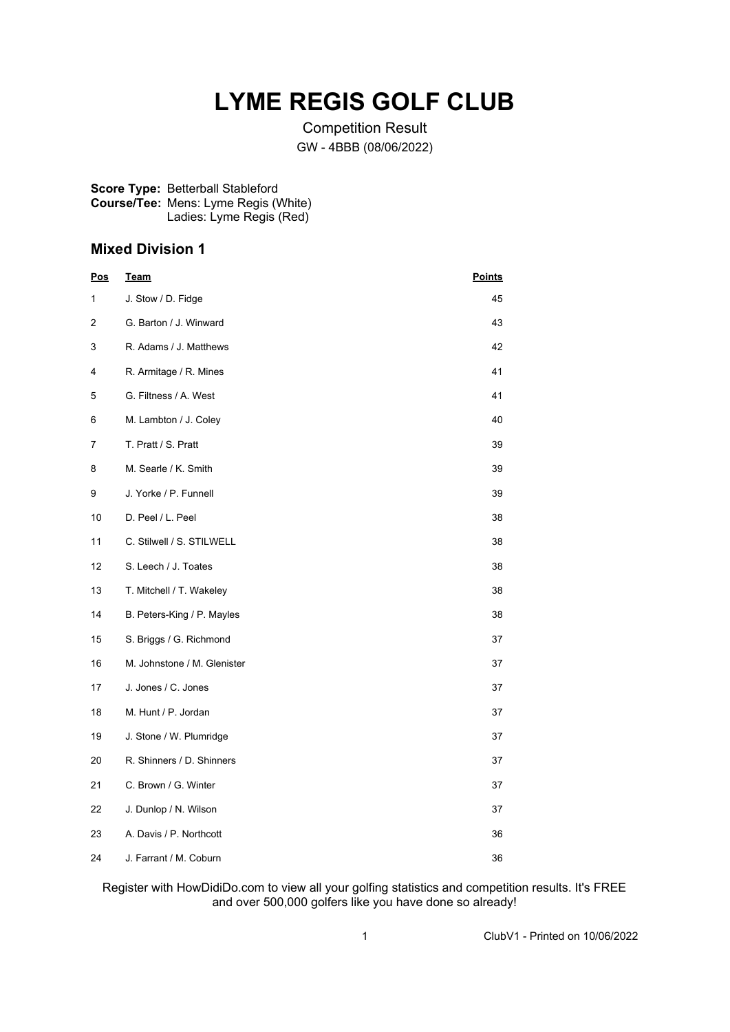# **LYME REGIS GOLF CLUB**

Competition Result GW - 4BBB (08/06/2022)

#### **Score Type:** Betterball Stableford **Course/Tee:** Mens: Lyme Regis (White) Ladies: Lyme Regis (Red)

### **Mixed Division 1**

| <b>Pos</b> | Team                        | <b>Points</b> |
|------------|-----------------------------|---------------|
| 1          | J. Stow / D. Fidge          | 45            |
| 2          | G. Barton / J. Winward      | 43            |
| 3          | R. Adams / J. Matthews      | 42            |
| 4          | R. Armitage / R. Mines      | 41            |
| 5          | G. Filtness / A. West       | 41            |
| 6          | M. Lambton / J. Coley       | 40            |
| 7          | T. Pratt / S. Pratt         | 39            |
| 8          | M. Searle / K. Smith        | 39            |
| 9          | J. Yorke / P. Funnell       | 39            |
| 10         | D. Peel / L. Peel           | 38            |
| 11         | C. Stilwell / S. STILWELL   | 38            |
| 12         | S. Leech / J. Toates        | 38            |
| 13         | T. Mitchell / T. Wakeley    | 38            |
| 14         | B. Peters-King / P. Mayles  | 38            |
| 15         | S. Briggs / G. Richmond     | 37            |
| 16         | M. Johnstone / M. Glenister | 37            |
| 17         | J. Jones / C. Jones         | 37            |
| 18         | M. Hunt / P. Jordan         | 37            |
| 19         | J. Stone / W. Plumridge     | 37            |
| 20         | R. Shinners / D. Shinners   | 37            |
| 21         | C. Brown / G. Winter        | 37            |
| 22         | J. Dunlop / N. Wilson       | 37            |
| 23         | A. Davis / P. Northcott     | 36            |
| 24         | J. Farrant / M. Coburn      | 36            |

Register with HowDidiDo.com to view all your golfing statistics and competition results. It's FREE and over 500,000 golfers like you have done so already!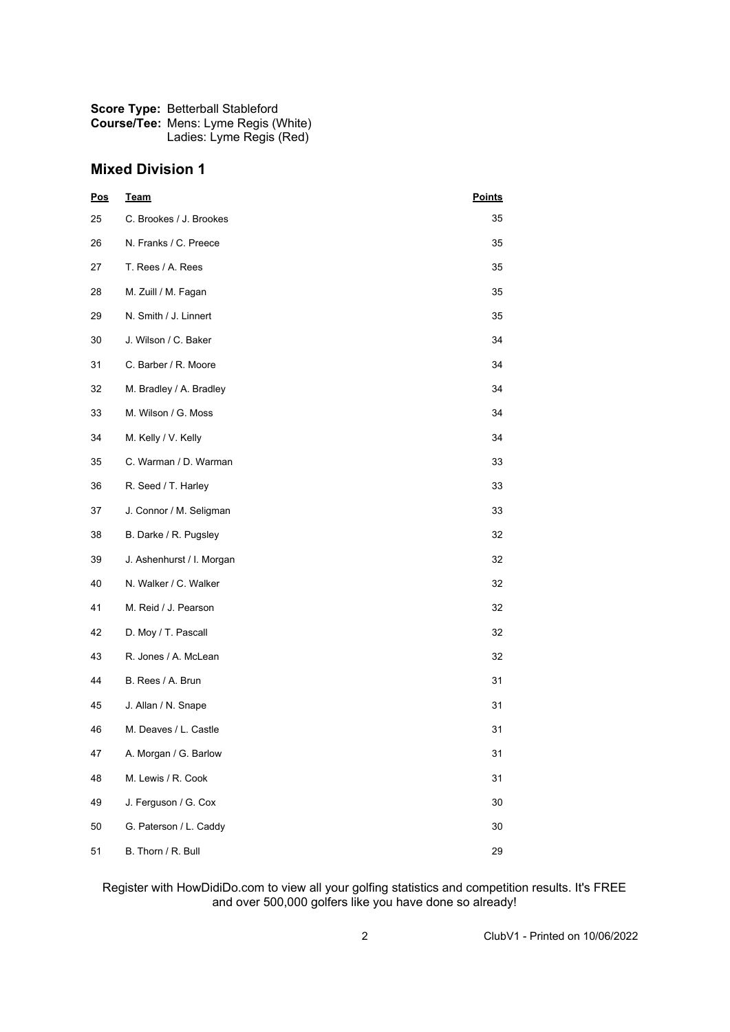| <b>Score Type: Betterball Stableford</b>    |
|---------------------------------------------|
| <b>Course/Tee: Mens: Lyme Regis (White)</b> |
| Ladies: Lyme Regis (Red)                    |

## **Mixed Division 1**

| Pos | <b>Team</b>               | <b>Points</b> |  |
|-----|---------------------------|---------------|--|
| 25  | C. Brookes / J. Brookes   | 35            |  |
| 26  | N. Franks / C. Preece     | 35            |  |
| 27  | T. Rees / A. Rees         | 35            |  |
| 28  | M. Zuill / M. Fagan       | 35            |  |
| 29  | N. Smith / J. Linnert     | 35            |  |
| 30  | J. Wilson / C. Baker      | 34            |  |
| 31  | C. Barber / R. Moore      | 34            |  |
| 32  | M. Bradley / A. Bradley   | 34            |  |
| 33  | M. Wilson / G. Moss       | 34            |  |
| 34  | M. Kelly / V. Kelly       | 34            |  |
| 35  | C. Warman / D. Warman     | 33            |  |
| 36  | R. Seed / T. Harley       | 33            |  |
| 37  | J. Connor / M. Seligman   | 33            |  |
| 38  | B. Darke / R. Pugsley     | 32            |  |
| 39  | J. Ashenhurst / I. Morgan | 32            |  |
| 40  | N. Walker / C. Walker     | 32            |  |
| 41  | M. Reid / J. Pearson      | 32            |  |
| 42  | D. Moy / T. Pascall       | 32            |  |
| 43  | R. Jones / A. McLean      | 32            |  |
| 44  | B. Rees / A. Brun         | 31            |  |
| 45  | J. Allan / N. Snape       | 31            |  |
| 46  | M. Deaves / L. Castle     | 31            |  |
| 47  | A. Morgan / G. Barlow     | 31            |  |
| 48  | M. Lewis / R. Cook        | 31            |  |
| 49  | J. Ferguson / G. Cox      | 30            |  |
| 50  | G. Paterson / L. Caddy    | 30            |  |
| 51  | B. Thorn / R. Bull        | 29            |  |

#### Register with HowDidiDo.com to view all your golfing statistics and competition results. It's FREE and over 500,000 golfers like you have done so already!